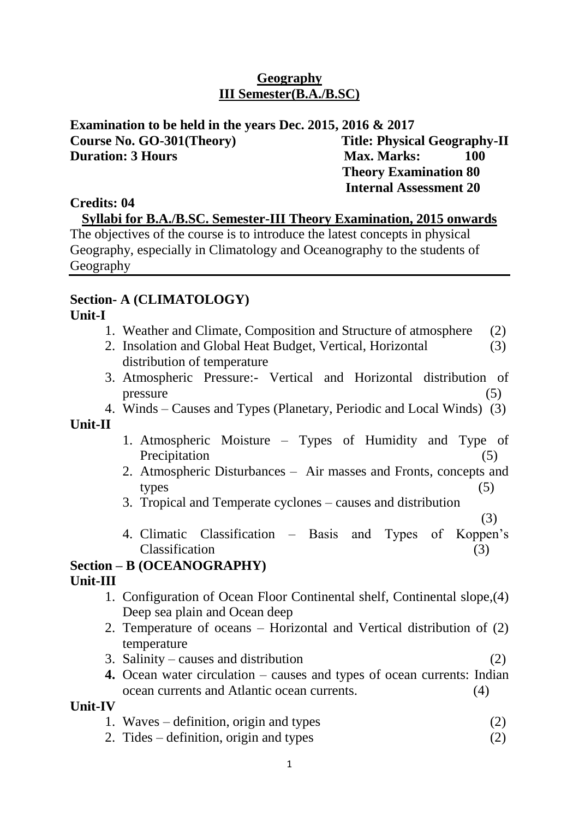## **Geography III Semester(B.A./B.SC)**

**Examination to be held in the years Dec. 2015, 2016 & 2017** Course No. GO-301(Theory) Title: Physical Geography-II **Duration: 3 Hours Max. Marks:** 100  **Theory Examination 80**

## **Credits: 04**

**Syllabi for B.A./B.SC. Semester-III Theory Examination, 2015 onwards**

 **Internal Assessment 20**

The objectives of the course is to introduce the latest concepts in physical Geography, especially in Climatology and Oceanography to the students of Geography

# **Section- A (CLIMATOLOGY)**

#### **Unit-I**

- 1. Weather and Climate, Composition and Structure of atmosphere (2)
- 2. Insolation and Global Heat Budget, Vertical, Horizontal (3) distribution of temperature
- 3. Atmospheric Pressure:- Vertical and Horizontal distribution of  $pressure$  (5)
- 4. Winds Causes and Types (Planetary, Periodic and Local Winds) (3)

## **Unit-II**

- 1. Atmospheric Moisture Types of Humidity and Type of Precipitation (5)
- 2. Atmospheric Disturbances Air masses and Fronts, concepts and  $types$  (5)
- 3. Tropical and Temperate cyclones causes and distribution
- (3) 4. Climatic Classification – Basis and Types of Koppen's Classification (3)

# **Section – B (OCEANOGRAPHY)**

## **Unit-III**

- 1. Configuration of Ocean Floor Continental shelf, Continental slope,(4) Deep sea plain and Ocean deep
- 2. Temperature of oceans Horizontal and Vertical distribution of (2) temperature
- 3. Salinity causes and distribution (2)
- **4.** Ocean water circulation causes and types of ocean currents: Indian ocean currents and Atlantic ocean currents. (4)

## **Unit-IV**

- 1. Waves definition, origin and types (2)
- 2. Tides definition, origin and types (2)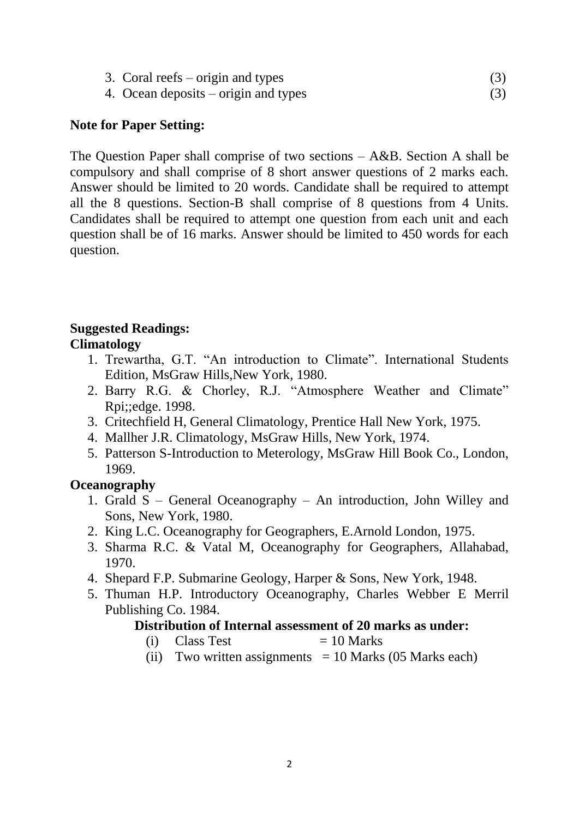|  | 3. Coral reefs – origin and types |  |
|--|-----------------------------------|--|
|--|-----------------------------------|--|

4. Ocean deposits – origin and types (3)

# **Note for Paper Setting:**

The Question Paper shall comprise of two sections – A&B. Section A shall be compulsory and shall comprise of 8 short answer questions of 2 marks each. Answer should be limited to 20 words. Candidate shall be required to attempt all the 8 questions. Section-B shall comprise of 8 questions from 4 Units. Candidates shall be required to attempt one question from each unit and each question shall be of 16 marks. Answer should be limited to 450 words for each question.

#### **Suggested Readings: Climatology**

- 1. Trewartha, G.T. "An introduction to Climate". International Students Edition, MsGraw Hills,New York, 1980.
- 2. Barry R.G. & Chorley, R.J. "Atmosphere Weather and Climate" Rpi;;edge. 1998.
- 3. Critechfield H, General Climatology, Prentice Hall New York, 1975.
- 4. Mallher J.R. Climatology, MsGraw Hills, New York, 1974.
- 5. Patterson S-Introduction to Meterology, MsGraw Hill Book Co., London, 1969.

# **Oceanography**

- 1. Grald S General Oceanography An introduction, John Willey and Sons, New York, 1980.
- 2. King L.C. Oceanography for Geographers, E.Arnold London, 1975.
- 3. Sharma R.C. & Vatal M, Oceanography for Geographers, Allahabad, 1970.
- 4. Shepard F.P. Submarine Geology, Harper & Sons, New York, 1948.
- 5. Thuman H.P. Introductory Oceanography, Charles Webber E Merril Publishing Co. 1984.

# **Distribution of Internal assessment of 20 marks as under:**

- (i) Class Test  $= 10$  Marks
- (ii) Two written assignments  $= 10$  Marks (05 Marks each)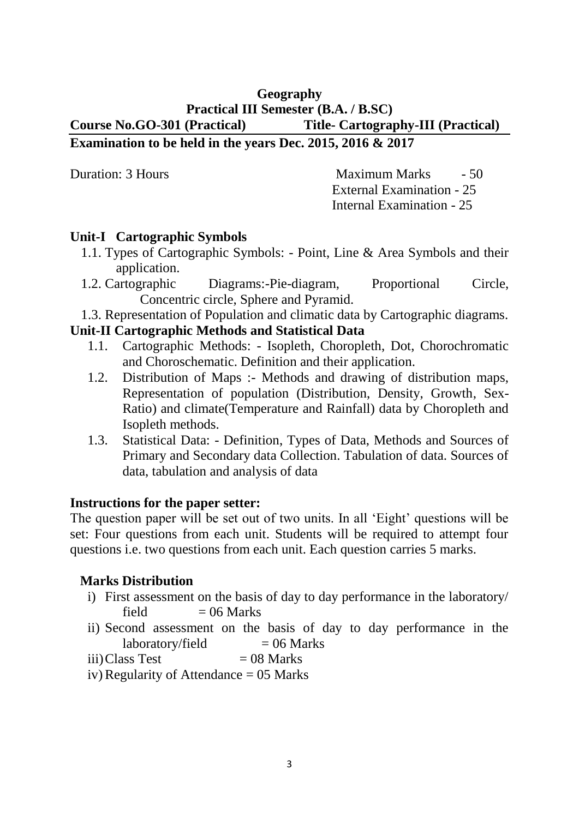## **Geography Practical III Semester (B.A. / B.SC) Course No.GO-301 (Practical) Title- Cartography-III (Practical) Examination to be held in the years Dec. 2015, 2016 & 2017**

Duration: 3 Hours Maximum Marks - 50 External Examination - 25 Internal Examination - 25

## **Unit-I Cartographic Symbols**

- 1.1. Types of Cartographic Symbols: Point, Line & Area Symbols and their application.
- 1.2. Cartographic Diagrams:-Pie-diagram, Proportional Circle, Concentric circle, Sphere and Pyramid.
- 1.3. Representation of Population and climatic data by Cartographic diagrams.

## **Unit-II Cartographic Methods and Statistical Data**

- 1.1. Cartographic Methods: Isopleth, Choropleth, Dot, Chorochromatic and Choroschematic. Definition and their application.
- 1.2. Distribution of Maps :- Methods and drawing of distribution maps, Representation of population (Distribution, Density, Growth, Sex-Ratio) and climate(Temperature and Rainfall) data by Choropleth and Isopleth methods.
- 1.3. Statistical Data: Definition, Types of Data, Methods and Sources of Primary and Secondary data Collection. Tabulation of data. Sources of data, tabulation and analysis of data

## **Instructions for the paper setter:**

The question paper will be set out of two units. In all 'Eight' questions will be set: Four questions from each unit. Students will be required to attempt four questions i.e. two questions from each unit. Each question carries 5 marks.

## **Marks Distribution**

- i) First assessment on the basis of day to day performance in the laboratory/ field  $= 06$  Marks
- ii) Second assessment on the basis of day to day performance in the  $laboratory/field = 06 Marks$
- $iii) Class Test = 08 Marks$
- iv) Regularity of Attendance  $= 05$  Marks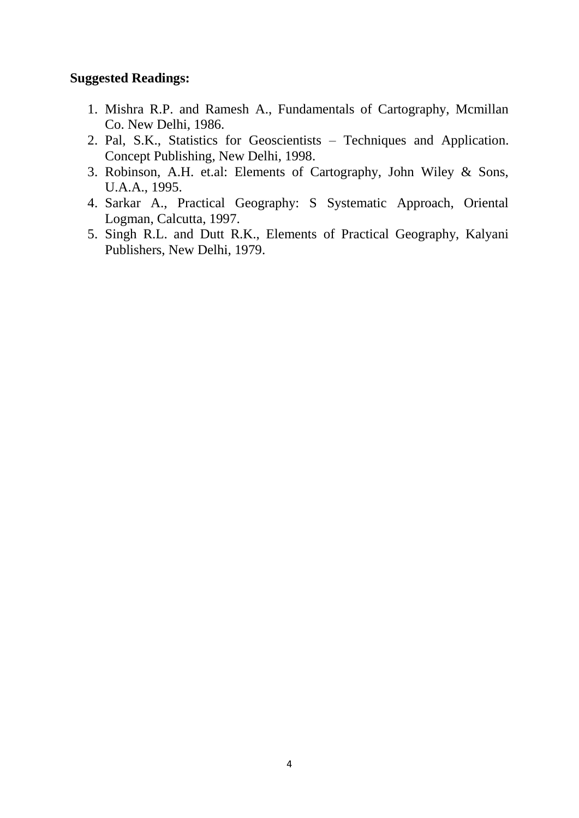- 1. Mishra R.P. and Ramesh A., Fundamentals of Cartography, Mcmillan Co. New Delhi, 1986.
- 2. Pal, S.K., Statistics for Geoscientists Techniques and Application. Concept Publishing, New Delhi, 1998.
- 3. Robinson, A.H. et.al: Elements of Cartography, John Wiley & Sons, U.A.A., 1995.
- 4. Sarkar A., Practical Geography: S Systematic Approach, Oriental Logman, Calcutta, 1997.
- 5. Singh R.L. and Dutt R.K., Elements of Practical Geography, Kalyani Publishers, New Delhi, 1979.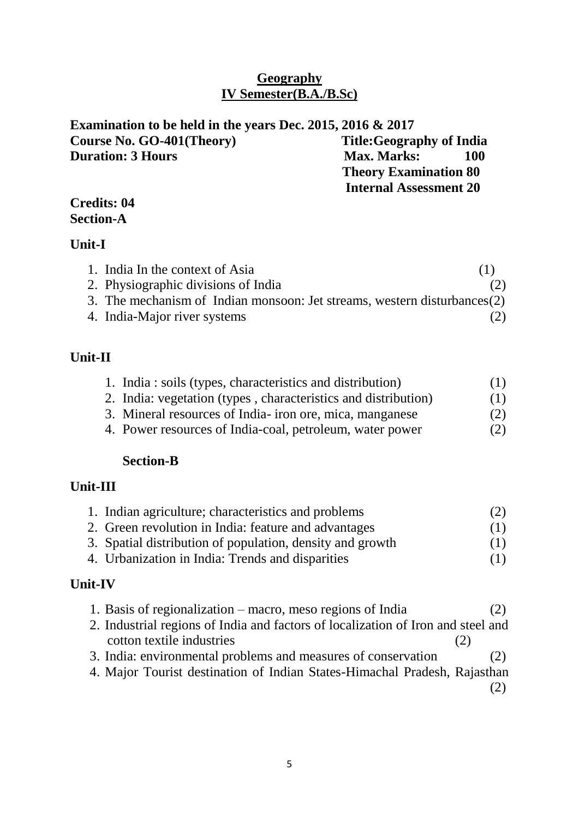## **Geography IV Semester(B.A./B.Sc)**

| Examination to be held in the years Dec. 2015, 2016 $& 2017$ |                                  |
|--------------------------------------------------------------|----------------------------------|
| Course No. GO-401(Theory)                                    | <b>Title: Geography of India</b> |
| <b>Duration: 3 Hours</b>                                     | <b>Max. Marks:</b><br>100        |
|                                                              | <b>Theory Examination 80</b>     |
|                                                              | <b>Internal Assessment 20</b>    |

## **Credits: 04 Section-A**

## **Unit-I**

| 1. India In the context of Asia                                          | (1) |
|--------------------------------------------------------------------------|-----|
| 2. Physiographic divisions of India                                      | (2) |
| 3. The mechanism of Indian monsoon: Jet streams, western disturbances(2) |     |
| 4. India-Major river systems                                             | (2) |

# **Unit-II**

| 1. India: soils (types, characteristics and distribution)      | (1) |
|----------------------------------------------------------------|-----|
| 2. India: vegetation (types, characteristics and distribution) | (1) |
| 3. Mineral resources of India- iron ore, mica, manganese       | (2) |

4. Power resources of India-coal, petroleum, water power (2)

# **Section-B**

# **Unit-III**

| 1. Indian agriculture; characteristics and problems       | (2) |
|-----------------------------------------------------------|-----|
| 2. Green revolution in India: feature and advantages      | (1) |
| 3. Spatial distribution of population, density and growth | (1) |
| 4. Urbanization in India: Trends and disparities          | (1) |
|                                                           |     |

# **Unit-IV**

| 1. Basis of regionalization – macro, meso regions of India                       | (2) |
|----------------------------------------------------------------------------------|-----|
| 2. Industrial regions of India and factors of localization of Iron and steel and |     |
| cotton textile industries<br>(2)                                                 |     |
| 3. India: environmental problems and measures of conservation                    | (2) |

4. Major Tourist destination of Indian States-Himachal Pradesh, Rajasthan

(2)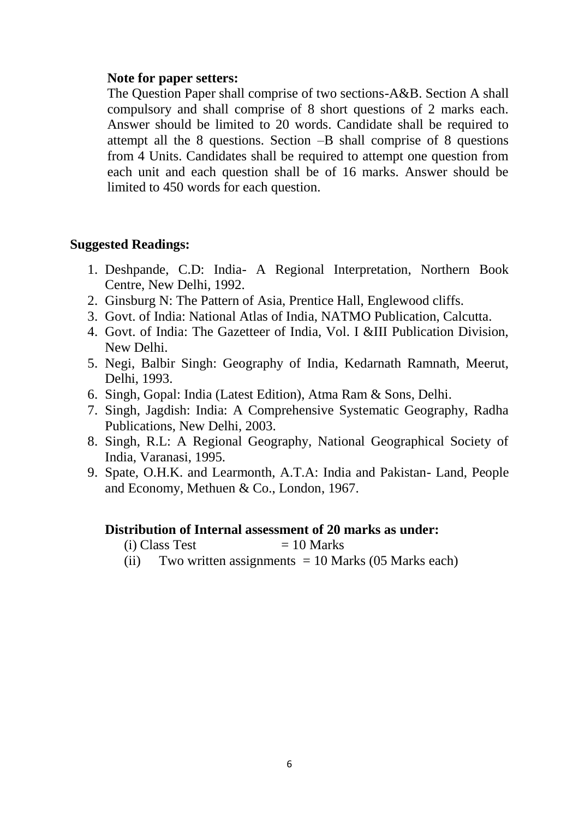#### **Note for paper setters:**

The Question Paper shall comprise of two sections-A&B. Section A shall compulsory and shall comprise of 8 short questions of 2 marks each. Answer should be limited to 20 words. Candidate shall be required to attempt all the 8 questions. Section –B shall comprise of 8 questions from 4 Units. Candidates shall be required to attempt one question from each unit and each question shall be of 16 marks. Answer should be limited to 450 words for each question.

#### **Suggested Readings:**

- 1. Deshpande, C.D: India- A Regional Interpretation, Northern Book Centre, New Delhi, 1992.
- 2. Ginsburg N: The Pattern of Asia, Prentice Hall, Englewood cliffs.
- 3. Govt. of India: National Atlas of India, NATMO Publication, Calcutta.
- 4. Govt. of India: The Gazetteer of India, Vol. I &III Publication Division, New Delhi.
- 5. Negi, Balbir Singh: Geography of India, Kedarnath Ramnath, Meerut, Delhi, 1993.
- 6. Singh, Gopal: India (Latest Edition), Atma Ram & Sons, Delhi.
- 7. Singh, Jagdish: India: A Comprehensive Systematic Geography, Radha Publications, New Delhi, 2003.
- 8. Singh, R.L: A Regional Geography, National Geographical Society of India, Varanasi, 1995.
- 9. Spate, O.H.K. and Learmonth, A.T.A: India and Pakistan- Land, People and Economy, Methuen & Co., London, 1967.

#### **Distribution of Internal assessment of 20 marks as under:**

 $(i) Class Test = 10 Marks$ 

(ii) Two written assignments  $= 10$  Marks (05 Marks each)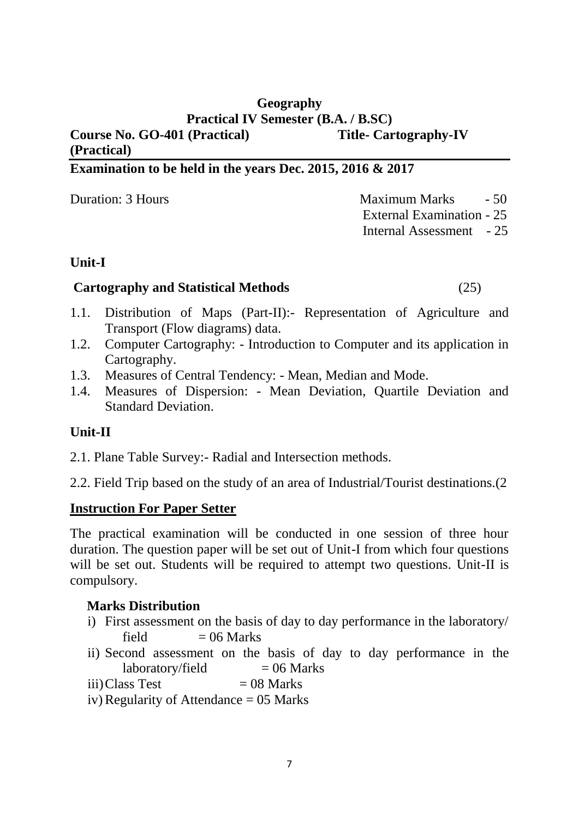# **Geography Practical IV Semester (B.A. / B.SC)**

#### **Course No. GO-401 (Practical) Title- Cartography-IV (Practical)**

# **Examination to be held in the years Dec. 2015, 2016 & 2017**

Duration: 3 Hours **Maximum Marks** - 50 External Examination - 25 Internal Assessment - 25

# **Unit-I**

## **Cartography and Statistical Methods** (25)

- 1.1. Distribution of Maps (Part-II):- Representation of Agriculture and Transport (Flow diagrams) data.
- 1.2. Computer Cartography: Introduction to Computer and its application in Cartography.
- 1.3. Measures of Central Tendency: Mean, Median and Mode.
- 1.4. Measures of Dispersion: Mean Deviation, Quartile Deviation and Standard Deviation.

# **Unit-II**

- 2.1. Plane Table Survey:- Radial and Intersection methods.
- 2.2. Field Trip based on the study of an area of Industrial/Tourist destinations.(2

# **Instruction For Paper Setter**

The practical examination will be conducted in one session of three hour duration. The question paper will be set out of Unit-I from which four questions will be set out. Students will be required to attempt two questions. Unit-II is compulsory.

# **Marks Distribution**

- i) First assessment on the basis of day to day performance in the laboratory/ field  $= 06$  Marks
- ii) Second assessment on the basis of day to day performance in the  $laboratory/field = 06 Marks$
- $iii) Class Test = 08 Marks$
- iv) Regularity of Attendance  $= 05$  Marks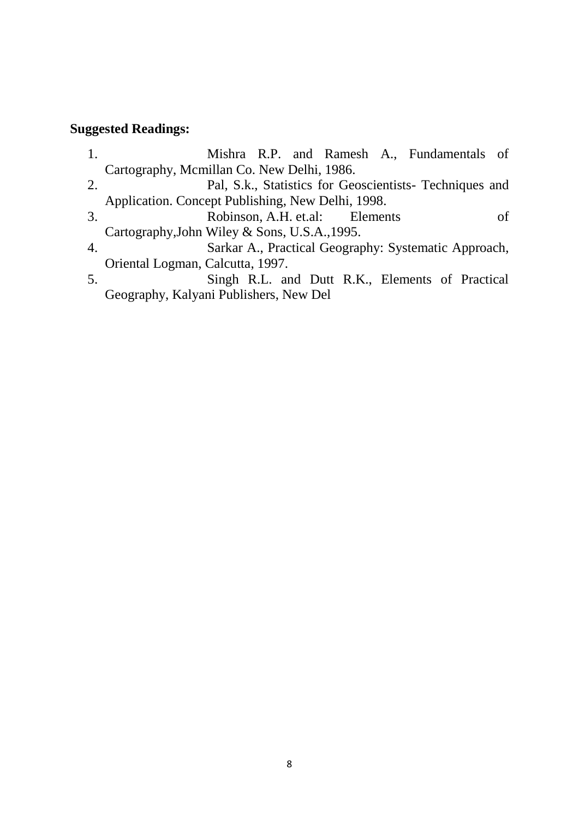- 1. Mishra R.P. and Ramesh A., Fundamentals of Cartography, Mcmillan Co. New Delhi, 1986. 2. Pal, S.k., Statistics for Geoscientists- Techniques and Application. Concept Publishing, New Delhi, 1998. 3. Robinson, A.H. et.al: Elements of Cartography,John Wiley & Sons, U.S.A.,1995. 4. Sarkar A., Practical Geography: Systematic Approach, Oriental Logman, Calcutta, 1997. 5. Singh R.L. and Dutt R.K., Elements of Practical
- Geography, Kalyani Publishers, New Del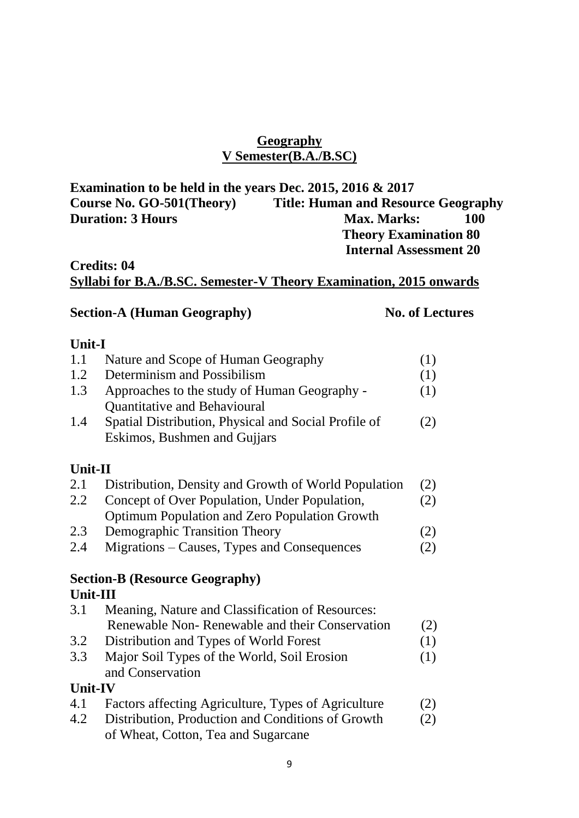# **Geography V Semester(B.A./B.SC)**

| Examination to be held in the years Dec. 2015, 2016 $& 2017$ |                                            |
|--------------------------------------------------------------|--------------------------------------------|
| Course No. GO-501(Theory)                                    | <b>Title: Human and Resource Geography</b> |
| <b>Duration: 3 Hours</b>                                     | <b>Max. Marks:</b><br>100                  |
|                                                              | <b>Theory Examination 80</b>               |
|                                                              | <b>Internal Assessment 20</b>              |

# **Credits: 04 Syllabi for B.A./B.SC. Semester-V Theory Examination, 2015 onwards**

# **Section-A (Human Geography) No. of Lectures**

# **Unit-I**

| 1.1            | Nature and Scope of Human Geography                  | (1) |
|----------------|------------------------------------------------------|-----|
| 1.2            | Determinism and Possibilism                          | (1) |
| 1.3            | Approaches to the study of Human Geography -         | (1) |
|                | Quantitative and Behavioural                         |     |
| 1.4            | Spatial Distribution, Physical and Social Profile of | (2) |
|                | Eskimos, Bushmen and Gujjars                         |     |
|                |                                                      |     |
| Unit-II        |                                                      |     |
| 2.1            | Distribution, Density and Growth of World Population | (2) |
| 2.2            | Concept of Over Population, Under Population,        | (2) |
|                | Optimum Population and Zero Population Growth        |     |
| 2.3            | <b>Demographic Transition Theory</b>                 | (2) |
| 2.4            | Migrations – Causes, Types and Consequences          | (2) |
|                | <b>Section-B (Resource Geography)</b>                |     |
| Unit-III       |                                                      |     |
| 3.1            | Meaning, Nature and Classification of Resources:     |     |
|                | Renewable Non-Renewable and their Conservation       | (2) |
| 3.2            | Distribution and Types of World Forest               | (1) |
| 3.3            | Major Soil Types of the World, Soil Erosion          | (1) |
|                | and Conservation                                     |     |
| <b>Unit-IV</b> |                                                      |     |
| 4.1            | Factors affecting Agriculture, Types of Agriculture  | (2) |
| 4.2            | Distribution, Production and Conditions of Growth    | (2) |
|                | of Wheat, Cotton, Tea and Sugarcane                  |     |
|                |                                                      |     |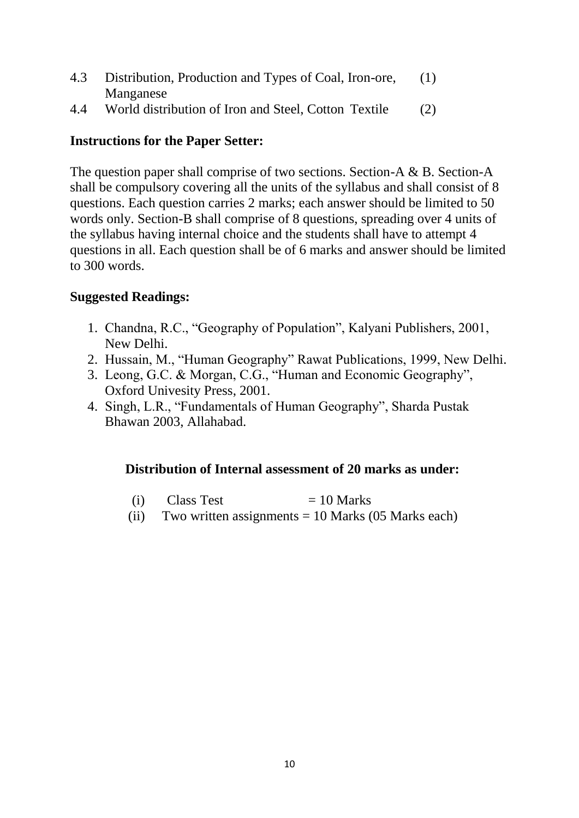- 4.3 Distribution, Production and Types of Coal, Iron-ore, (1) Manganese
- 4.4 World distribution of Iron and Steel, Cotton Textile (2)

# **Instructions for the Paper Setter:**

The question paper shall comprise of two sections. Section-A & B. Section-A shall be compulsory covering all the units of the syllabus and shall consist of 8 questions. Each question carries 2 marks; each answer should be limited to 50 words only. Section-B shall comprise of 8 questions, spreading over 4 units of the syllabus having internal choice and the students shall have to attempt 4 questions in all. Each question shall be of 6 marks and answer should be limited to 300 words.

## **Suggested Readings:**

- 1. Chandna, R.C., "Geography of Population", Kalyani Publishers, 2001, New Delhi.
- 2. Hussain, M., "Human Geography" Rawat Publications, 1999, New Delhi.
- 3. Leong, G.C. & Morgan, C.G., "Human and Economic Geography", Oxford Univesity Press, 2001.
- 4. Singh, L.R., "Fundamentals of Human Geography", Sharda Pustak Bhawan 2003, Allahabad.

# **Distribution of Internal assessment of 20 marks as under:**

- (i) Class Test  $= 10$  Marks
- (ii) Two written assignments  $= 10$  Marks (05 Marks each)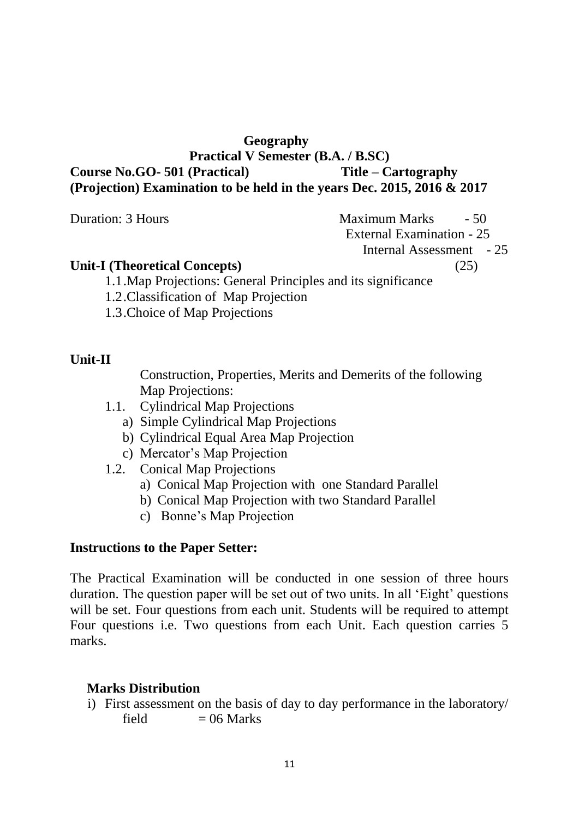## **Geography**

## **Practical V Semester (B.A. / B.SC) Course No.GO- 501 (Practical) Title – Cartography (Projection) Examination to be held in the years Dec. 2015, 2016 & 2017**

Duration: 3 Hours Maximum Marks - 50

External Examination - 25

Internal Assessment - 25

#### **Unit-I (Theoretical Concepts)** (25)

1.1.Map Projections: General Principles and its significance

- 1.2.Classification of Map Projection
- 1.3.Choice of Map Projections

# **Unit-II**

Construction, Properties, Merits and Demerits of the following Map Projections:

- 1.1. Cylindrical Map Projections
	- a) Simple Cylindrical Map Projections
	- b) Cylindrical Equal Area Map Projection
	- c) Mercator's Map Projection
- 1.2. Conical Map Projections
	- a) Conical Map Projection with one Standard Parallel
	- b) Conical Map Projection with two Standard Parallel
	- c) Bonne's Map Projection

# **Instructions to the Paper Setter:**

The Practical Examination will be conducted in one session of three hours duration. The question paper will be set out of two units. In all 'Eight' questions will be set. Four questions from each unit. Students will be required to attempt Four questions i.e. Two questions from each Unit. Each question carries 5 marks.

# **Marks Distribution**

i) First assessment on the basis of day to day performance in the laboratory/ field  $= 06$  Marks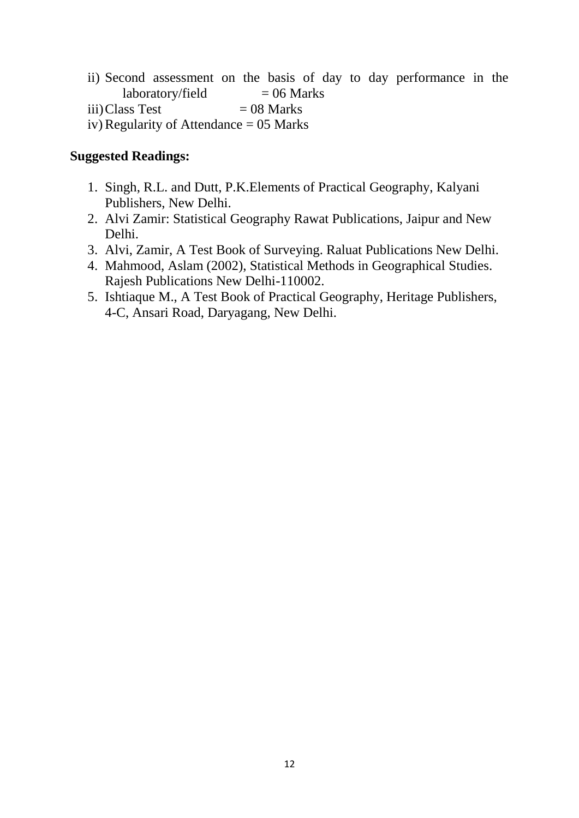- ii) Second assessment on the basis of day to day performance in the  $laboratory/field = 06 Marks$
- $iii) Class Test = 08 Marks$
- iv) Regularity of Attendance  $= 05$  Marks

- 1. Singh, R.L. and Dutt, P.K.Elements of Practical Geography, Kalyani Publishers, New Delhi.
- 2. Alvi Zamir: Statistical Geography Rawat Publications, Jaipur and New Delhi.
- 3. Alvi, Zamir, A Test Book of Surveying. Raluat Publications New Delhi.
- 4. Mahmood, Aslam (2002), Statistical Methods in Geographical Studies. Rajesh Publications New Delhi-110002.
- 5. Ishtiaque M., A Test Book of Practical Geography, Heritage Publishers, 4-C, Ansari Road, Daryagang, New Delhi.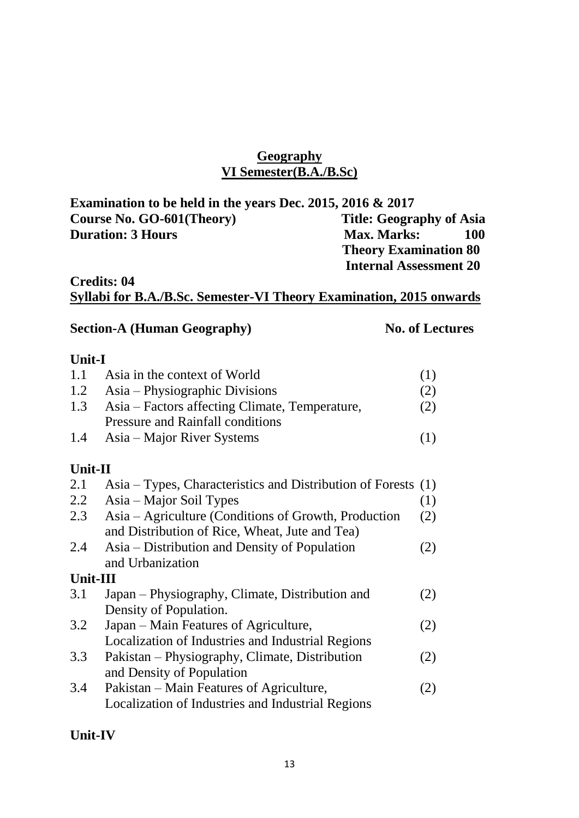#### **Geography VI Semester(B.A./B.Sc)**

| Examination to be held in the years Dec. 2015, 2016 $\&$ 2017 |                                 |
|---------------------------------------------------------------|---------------------------------|
| Course No. GO-601(Theory)                                     | <b>Title: Geography of Asia</b> |
| <b>Duration: 3 Hours</b>                                      | 100<br><b>Max. Marks:</b>       |
|                                                               | <b>Theory Examination 80</b>    |
|                                                               | <b>Internal Assessment 20</b>   |

#### **Credits: 04 Syllabi for B.A./B.Sc. Semester-VI Theory Examination, 2015 onwards**

#### **Section-A (Human Geography) No. of Lectures**

#### **Unit-I**

| 1.1     | Asia in the context of World                                  | (1) |
|---------|---------------------------------------------------------------|-----|
| 1.2     | Asia – Physiographic Divisions                                | (2) |
| 1.3     | Asia – Factors affecting Climate, Temperature,                | (2) |
|         | <b>Pressure and Rainfall conditions</b>                       |     |
| 1.4     | Asia – Major River Systems                                    | (1) |
| Unit-II |                                                               |     |
|         |                                                               |     |
| 2.1     | Asia – Types, Characteristics and Distribution of Forests (1) |     |

# 2.2 Asia – Major Soil Types (1) 2.3 Asia – Agriculture (Conditions of Growth, Production (2) and Distribution of Rice, Wheat, Jute and Tea) 2.4 Asia – Distribution and Density of Population (2)

# and Urbanization

## **Unit-III**

| 3.1 | Japan – Physiography, Climate, Distribution and | (2) |
|-----|-------------------------------------------------|-----|
|     | Density of Population.                          |     |
| 3.2 | Japan – Main Features of Agriculture,           | (2) |

# Localization of Industries and Industrial Regions 3.3 Pakistan – Physiography, Climate, Distribution (2) and Density of Population

3.4 Pakistan – Main Features of Agriculture, (2) Localization of Industries and Industrial Regions

# **Unit-IV**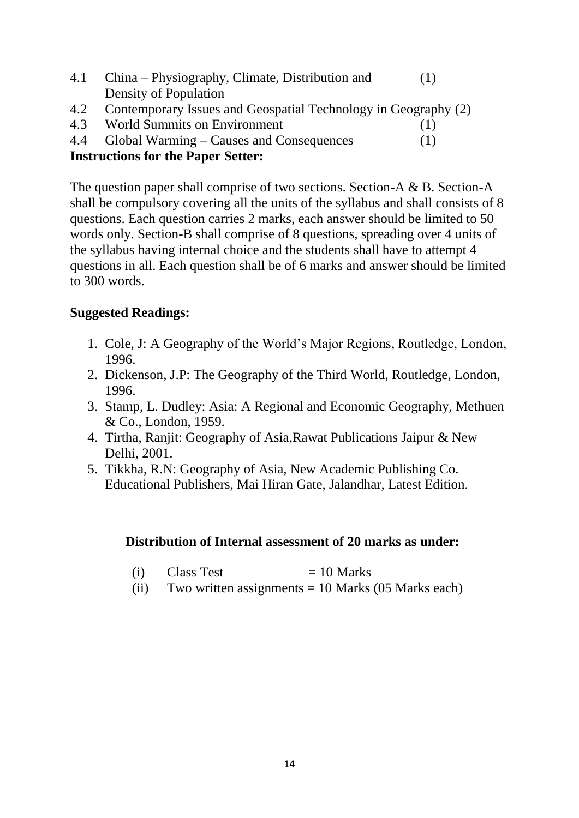| 4.1 | China – Physiography, Climate, Distribution and                |     |
|-----|----------------------------------------------------------------|-----|
|     | Density of Population                                          |     |
| 4.2 | Contemporary Issues and Geospatial Technology in Geography (2) |     |
| 4.3 | <b>World Summits on Environment</b>                            |     |
|     | 4.4 Global Warming – Causes and Consequences                   | (1) |
|     | <b>Instructions for the Paper Setter:</b>                      |     |

The question paper shall comprise of two sections. Section-A & B. Section-A shall be compulsory covering all the units of the syllabus and shall consists of 8 questions. Each question carries 2 marks, each answer should be limited to 50 words only. Section-B shall comprise of 8 questions, spreading over 4 units of the syllabus having internal choice and the students shall have to attempt 4 questions in all. Each question shall be of 6 marks and answer should be limited to 300 words.

#### **Suggested Readings:**

- 1. Cole, J: A Geography of the World's Major Regions, Routledge, London, 1996.
- 2. Dickenson, J.P: The Geography of the Third World, Routledge, London, 1996.
- 3. Stamp, L. Dudley: Asia: A Regional and Economic Geography, Methuen & Co., London, 1959.
- 4. Tirtha, Ranjit: Geography of Asia,Rawat Publications Jaipur & New Delhi, 2001.
- 5. Tikkha, R.N: Geography of Asia, New Academic Publishing Co. Educational Publishers, Mai Hiran Gate, Jalandhar, Latest Edition.

#### **Distribution of Internal assessment of 20 marks as under:**

- (i) Class Test  $= 10$  Marks
- (ii) Two written assignments  $= 10$  Marks (05 Marks each)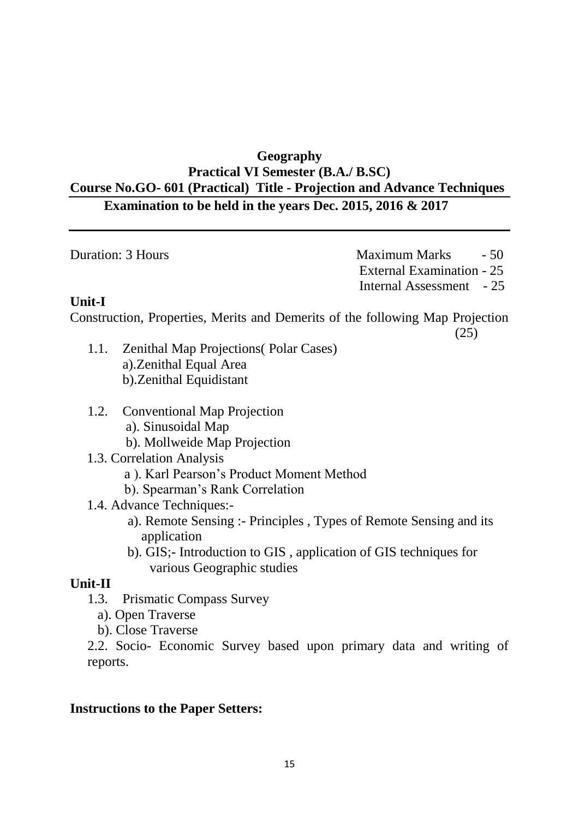# **Geography Practical VI Semester (B.A./ B.SC) Course No.GO- 601 (Practical) Title - Projection and Advance Techniques Examination to be held in the years Dec. 2015, 2016 & 2017**

| Duration: 3 Hours | Maximum Marks - 50        |
|-------------------|---------------------------|
|                   | External Examination - 25 |
|                   | Internal Assessment - 25  |

## **Unit-I**

Construction, Properties, Merits and Demerits of the following Map Projection

(25)

- 1.1. Zenithal Map Projections( Polar Cases) a).Zenithal Equal Area b).Zenithal Equidistant
- 1.2. Conventional Map Projection a). Sinusoidal Map
	- b). Mollweide Map Projection
- 1.3. Correlation Analysis
	- a ). Karl Pearson's Product Moment Method
	- b). Spearman's Rank Correlation
- 1.4. Advance Techniques:
	- a). Remote Sensing :- Principles , Types of Remote Sensing and its application
	- b). GIS;- Introduction to GIS , application of GIS techniques for various Geographic studies

## **Unit-II**

- 1.3. Prismatic Compass Survey
	- a). Open Traverse
	- b). Close Traverse

2.2. Socio- Economic Survey based upon primary data and writing of reports.

## **Instructions to the Paper Setters:**